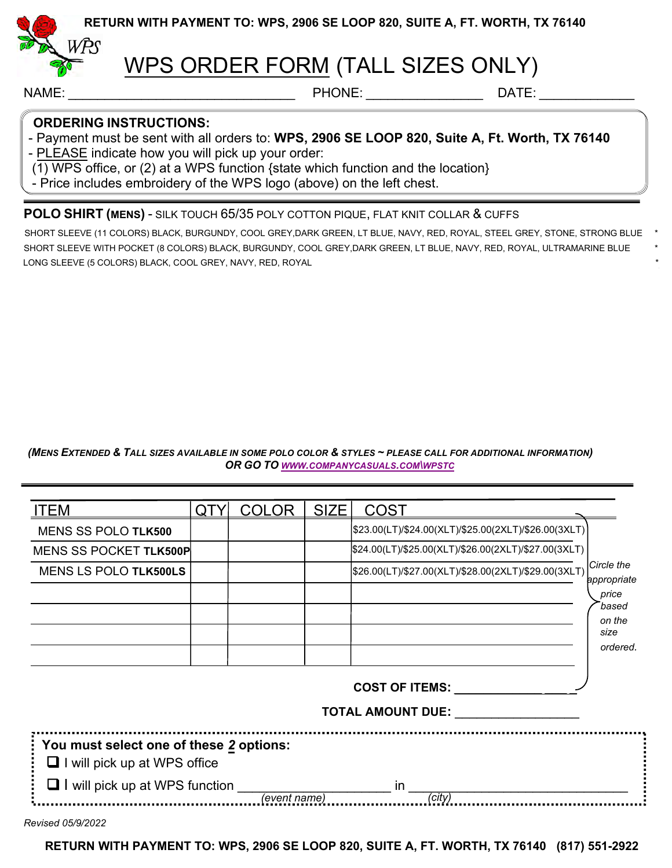

**RETURN WITH PAYMENT TO: WPS, 2906 SE LOOP 820, SUITE A, FT. WORTH, TX 76140** 

# WPS ORDER FORM (TALL SIZES ONLY)

NAME: \_\_\_\_\_\_\_\_\_\_\_\_\_\_\_\_\_\_\_\_\_\_\_\_\_\_\_\_\_\_\_ PHONE: \_\_\_\_\_\_\_\_\_\_\_\_\_\_\_\_ DATE: \_\_\_\_\_\_\_\_\_\_\_\_\_

### **ORDERING INSTRUCTIONS:**

- Payment must be sent with all orders to: **WPS, 2906 SE LOOP 820, Suite A, Ft. Worth, TX 76140**

- PLEASE indicate how you will pick up your order:

 $(1)$  WPS office, or (2) at a WPS function {state which function and the location}

- Price includes embroidery of the WPS logo (above) on the left chest.

### **POLO SHIRT (MENS)** - SILK TOUCH 65/35 POLY COTTON PIQUE, FLAT KNIT COLLAR & CUFFS

SHORT SLEEVE (11 COLORS) BLACK, BURGUNDY, COOL GREY,DARK GREEN, LT BLUE, NAVY, RED, ROYAL, STEEL GREY, STONE, STRONG BLUE \* SHORT SLEEVE WITH POCKET (8 COLORS) BLACK, BURGUNDY, COOL GREY,DARK GREEN, LT BLUE, NAVY, RED, ROYAL, ULTRAMARINE BLUE \* LONG SLEEVE (5 COLORS) BLACK, COOL GREY, NAVY, RED, ROYAL \*

*(MENS EXTENDED & TALL SIZES AVAILABLE IN SOME POLO COLOR & STYLES ~ PLEASE CALL FOR ADDITIONAL INFORMATION) OR GO TO WWW.COMPANYCASUALS.COM\WPSTC*

| <b>ITEM</b>                             | QTY | <b>COLOR</b> | <b>SIZE</b> | <b>COST</b>                                          |                            |
|-----------------------------------------|-----|--------------|-------------|------------------------------------------------------|----------------------------|
| <b>MENS SS POLO TLK500</b>              |     |              |             | \$23.00(LT)/\$24.00(XLT)/\$25.00(2XLT)/\$26.00(3XLT) |                            |
| MENS SS POCKET TLK500P                  |     |              |             | \$24.00(LT)/\$25.00(XLT)/\$26.00(2XLT)/\$27.00(3XLT) |                            |
| <b>MENS LS POLO TLK500LS</b>            |     |              |             | \$26.00(LT)/\$27.00(XLT)/\$28.00(2XLT)/\$29.00(3XLT) | lCircle the<br>appropriate |
|                                         |     |              |             |                                                      | price                      |
|                                         |     |              |             |                                                      | based<br>on the            |
|                                         |     |              |             |                                                      | size                       |
|                                         |     |              |             |                                                      | ordered.                   |
|                                         |     |              |             | <b>COST OF ITEMS:</b>                                |                            |
|                                         |     |              |             |                                                      |                            |
|                                         |     |              |             | <b>TOTAL AMOUNT DUE:</b>                             |                            |
| You must select one of these 2 options: |     |              |             |                                                      |                            |
| $\Box$ I will pick up at WPS office     |     |              |             |                                                      |                            |
| $\Box$ I will pick up at WPS function   |     |              |             | <i>in</i>                                            |                            |

*Revised 05/9/2022* 

**RETURN WITH PAYMENT TO: WPS, 2906 SE LOOP 820, SUITE A, FT. WORTH, TX 76140 (817) 551-2922**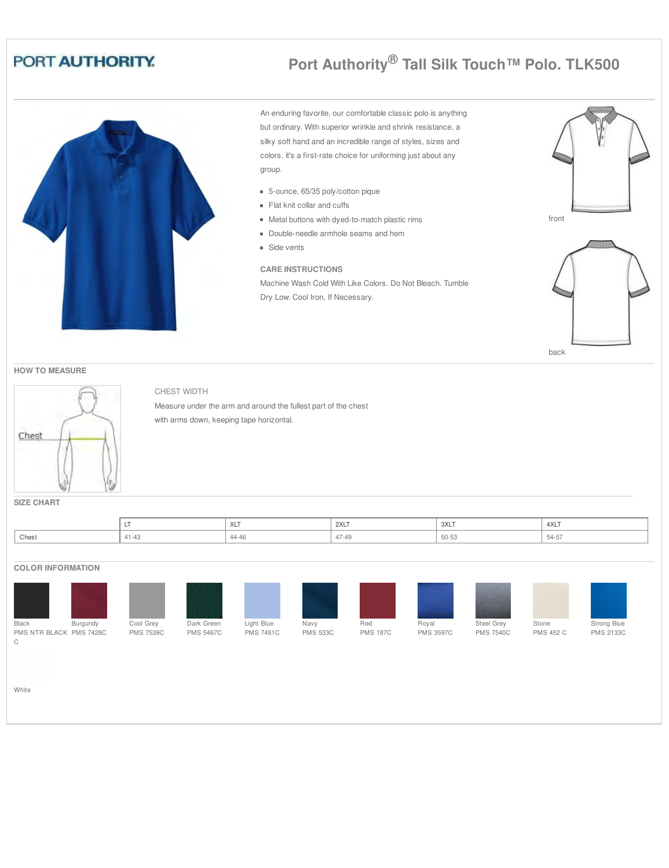# **Port Authority® Tall Silk Touch™ Polo. TLK500**

An enduring favorite, our comfortable classic polo is anything but ordinary. With superior wrinkle and shrink resistance, a silky soft hand and an incredible range of styles, sizes and colors, it's a first-rate choice for uniforming just about any group.

- 5-ounce, 65/35 poly/cotton pique
- Flat knit collar and cuffs
- Metal buttons with dyed-to-match plastic rims
- Double-needle armhole seams and hem
- **Side vents**

#### **CARE INSTRUCTIONS**

Machine Wash Cold With Like Colors. Do Not Bleach. Tumble Dry Low. Cool Iron, If Necessary.





**HOW TO MEASURE**



### CHEST WIDTH

Measure under the arm and around the fullest part of the chest with arms down, keeping tape horizontal.

**SIZE CHART**

|       |        | .  .<br>$\sqrt{2}$ | 2XLT | 3XLT         | 4XLT |
|-------|--------|--------------------|------|--------------|------|
| Chest | $-4.9$ | 44-46              | $-$  | $-$<br>UU-UU |      |

#### **COLOR INFORMATION**



White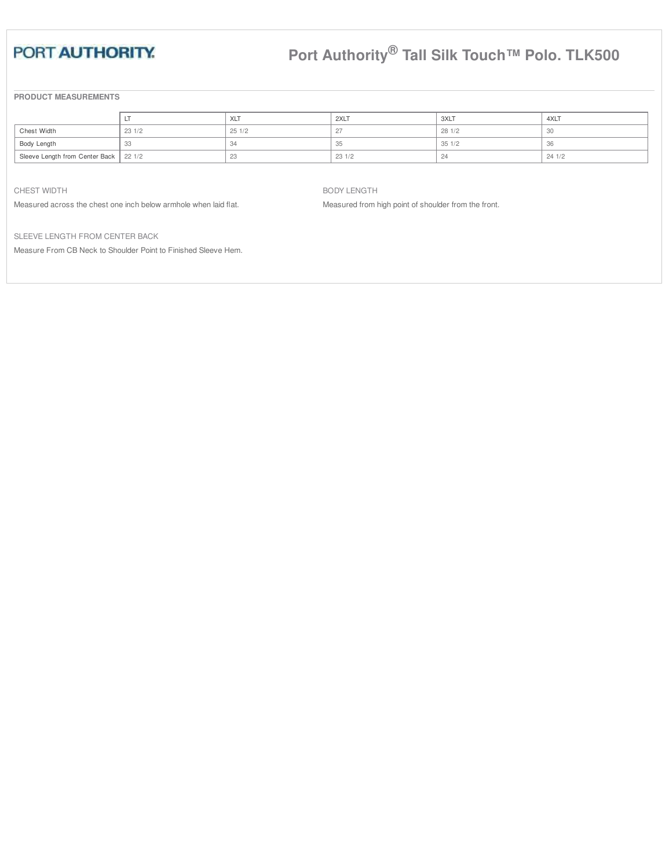# **Port Authority® Tall Silk Touch™ Polo. TLK500**

**PRODUCT MEASUREMENTS**

|                                         |       | <b>XLT</b> | 2XLT  | 3XLT   | 4XLT  |
|-----------------------------------------|-------|------------|-------|--------|-------|
| Chest Width                             | 231/2 | 251/2      | 27    | 28 1/2 |       |
| Body Length                             |       |            | 35    | 351/2  | .31.  |
|                                         |       | $\sim$     | 231/2 | -24    | 241/2 |
| Sleeve Length from Center Back   22 1/2 |       |            |       |        |       |

CHEST WIDTH

Measured across the chest one inch below armhole when laid flat.

BODY LENGTH

Measured from high point of shoulder from the front.

SLEEVE LENGTH FROM CENTER BACK

Measure From CB Neck to Shoulder Point to Finished Sleeve Hem.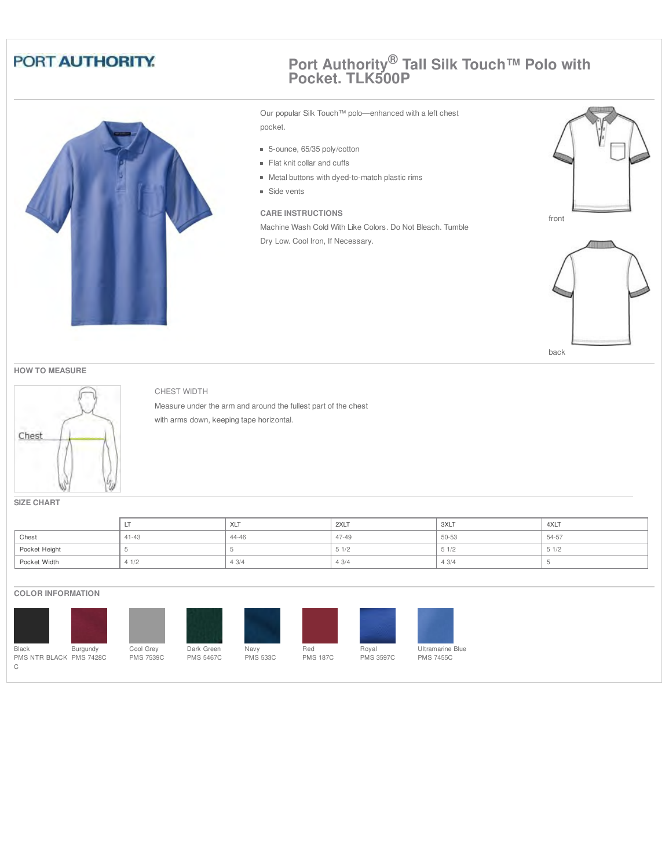

### **Port Authority® Tall Silk Touch™ Polo with Pocket. TLK500P**

Our popular Silk Touch™ polo—enhanced with a left chest pocket.

- 5-ounce, 65/35 poly/cotton
- Flat knit collar and cuffs
- Metal buttons with dyed-to-match plastic rims
- **Side vents**

#### **CARE INSTRUCTIONS**

Machine Wash Cold With Like Colors. Do Not Bleach. Tumble Dry Low. Cool Iron, If Necessary.



back

#### **HOW TO MEASURE**



#### CHEST WIDTH

Measure under the arm and around the fullest part of the chest with arms down, keeping tape horizontal.

**SIZE CHART**

|               | <b>L</b>  | XLT   | 2XLT  | 3XLT<br>$\sim$ $\sim$ | 4XLT  |
|---------------|-----------|-------|-------|-----------------------|-------|
| Chest         | $41 - 43$ | 44-46 | 47-49 | 50-53                 | 54-57 |
| Pocket Height |           |       | 51/2  | 51/2                  | 51/2  |
| Pocket Width  | 41/2      | 43/4  | 43/4  | 43/4                  |       |

#### **COLOR INFORMATION**













Ultramarine Blue PMS 7455C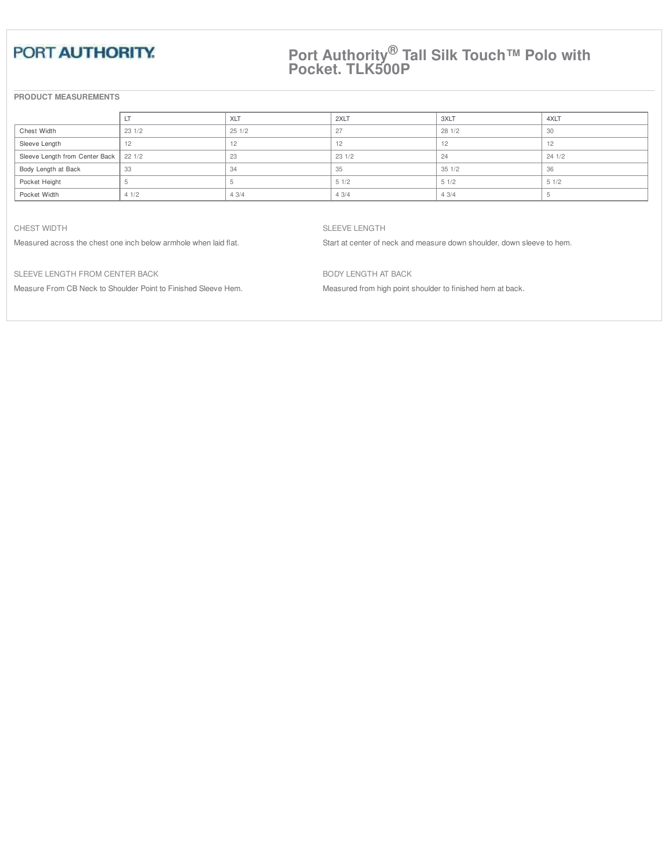### **Port Authority® Tall Silk Touch™ Polo with Pocket. TLK500P**

#### **PRODUCT MEASUREMENTS**

|                                         |       | XLT   | 2XLT  | 3XLT           | 4XLT   |
|-----------------------------------------|-------|-------|-------|----------------|--------|
| Chest Width                             | 231/2 | 251/2 | 27    | 281/2          | 30     |
| Sleeve Length                           |       |       | 12    | $\overline{2}$ | $\sim$ |
| Sleeve Length from Center Back   22 1/2 |       | 23    | 231/2 | 24             | 241/2  |
| Body Length at Back                     | 33    | 34    | 35    | 351/2          | 36     |
| Pocket Height                           |       |       | 51/2  | 51/2           | 51/2   |
| Pocket Width                            | 41/2  | 43/4  | 43/4  | 43/4           |        |

#### CHEST WIDTH

Measured across the chest one inch below armhole when laid flat.

SLEEVE LENGTH

Start at center of neck and measure down shoulder, down sleeve to hem.

SLEEVE LENGTH FROM CENTER BACK

Measure From CB Neck to Shoulder Point to Finished Sleeve Hem.

BODY LENGTH AT BACK

Measured from high point shoulder to finished hem at back.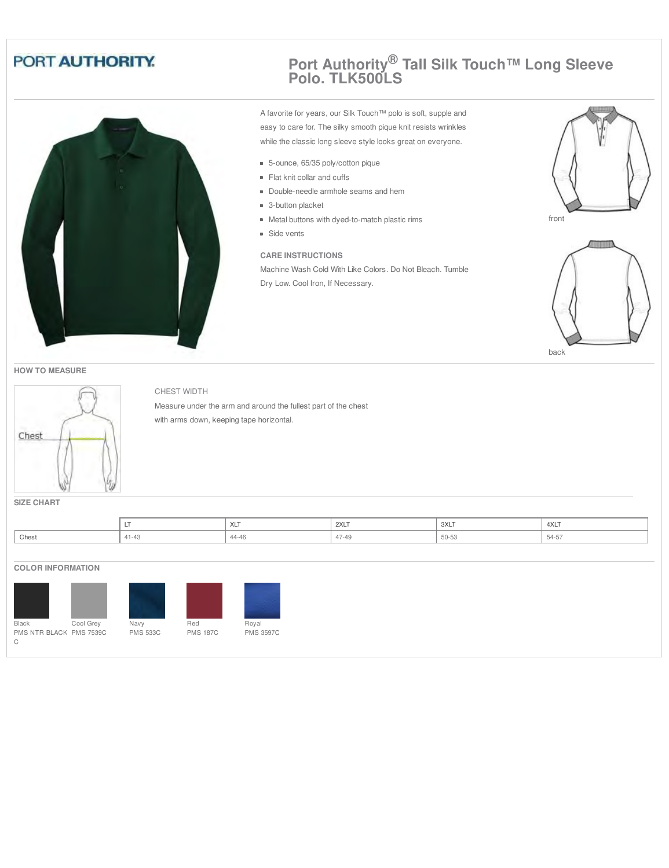

### **Port Authority® Tall Silk Touch™ Long Sleeve Polo. TLK500LS**

A favorite for years, our Silk Touch™ polo is soft, supple and easy to care for. The silky smooth pique knit resists wrinkles while the classic long sleeve style looks great on everyone.

- 5-ounce, 65/35 poly/cotton pique
- Flat knit collar and cuffs
- Double-needle armhole seams and hem
- 3-button placket
- Metal buttons with dyed-to-match plastic rims
- **Side vents**

#### **CARE INSTRUCTIONS**

Machine Wash Cold With Like Colors. Do Not Bleach. Tumble Dry Low. Cool Iron, If Necessary.





back





#### CHEST WIDTH

Measure under the arm and around the fullest part of the chest with arms down, keeping tape horizontal.

**SIZE CHART**

|       |                | $\cdots$<br>$\sqrt{2}$ | 2XLT               | 3XLT     | 4XLT |
|-------|----------------|------------------------|--------------------|----------|------|
| Chest | $\overline{1}$ | 44-46                  | 17.10<br>$4/ - 49$ | $-\circ$ | ה-54 |

#### **COLOR INFORMATION**